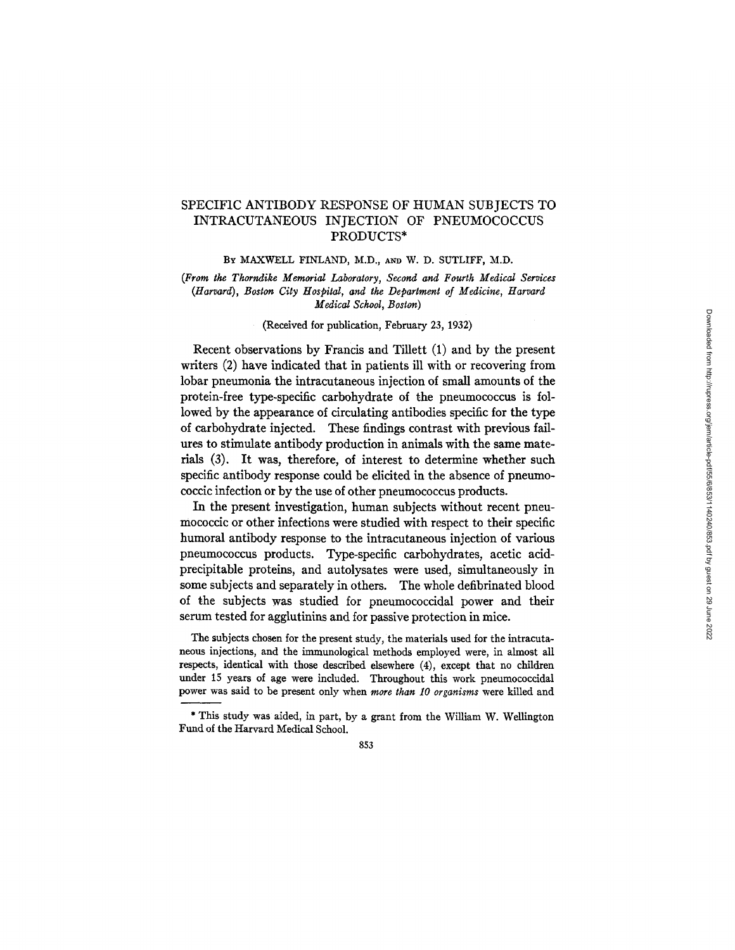# SPECIFIC ANTIBODY RESPONSE OF HUMAN SUBJECTS TO INTRACUTANEOUS INJECTION OF PNEUMOCOCCUS PRODUCTS\*

BY MAXWELL FINLAND, M.D., AND W. D. SUTLIFF, M.D.

(From the Thorndike Memorial Laboratory, Second and Fourth Medical Services *(Harvard), Boston City Hospital, and the Department of Medicine, Harvard Medical School, Boston)* 

#### (Received for publication, February 23, 1932)

Recent observations by Francis and Tillett (1) and by the present writers (2) have indicated that in patients ill with or recovering from lobar pneumonia the intracutaneous injection of small amounts of the protein-free type-specific carbohydrate of the pneumococcus is followed by the appearance of circulating antibodies specific for the type of carbohydrate injected. These findings contrast with previous failures to stimulate antibody production in animals with the same materials (3). It was, therefore, of interest to determine whether such specific antibody response could be elicited in the absence of pneumococcic infection or by the use of other pneumococcus products.

In the present investigation, human subjects without recent pneumococcic or other infections were studied with respect to their specific humoral antibody response to the intracutaneous injection of various pneumococcus products. Type-specific carbohydrates, acetic acidprecipitable proteins, and autolysates were used, simultaneously in some subjects and separately in others. The whole defibrinated blood of the subjects was studied for pneumococcidal power and their serum tested for agglutinins and for passive protection in mice.

The subjects chosen for the present study, the materials used for the intracutaneous injections, and the immunological methods employed were, in almost all respects, identical with those described elsewhere (4), except that no children under 15 years of age were included. Throughout this work pneumococcidal power was said to be present only when *more than 10 organisms* were killed and

<sup>\*</sup> This study was aided, in part, by a grant from the William W. Wellington Fund of the Harvard Medical School.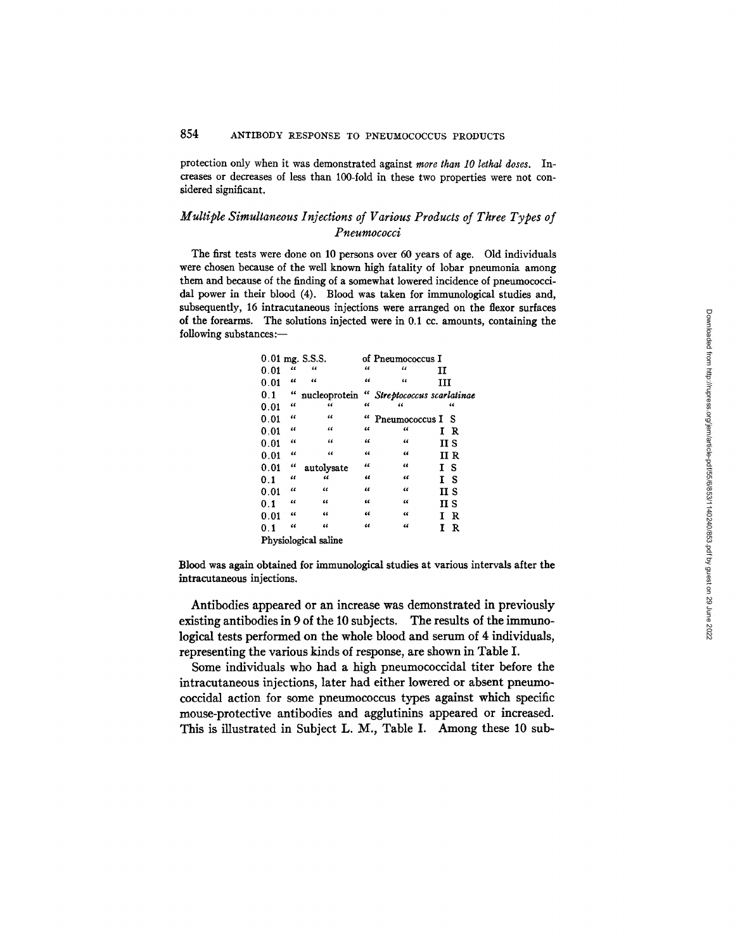protection only when it was demonstrated against *more than 10 lethal doses.* Increases or decreases of less than lO0-fold in these two properties were not considered significant.

# *Multiple Simultaneous Injections of Various Products of Three Types of Pneumococci*

The first tests were done on 10 persons over 60 years of age. Old individuals were chosen because of the well known high fatality of lobar pneumonia among them and because of the finding of a somewhat lowered incidence of pneumococcidal power in their blood (4). Blood was taken for immunological studies and, subsequently, 16 intracutaneons injections were arranged on the flexor surfaces of the forearms. The solutions injected were in  $0.1$  cc. amounts, containing the following substances:-

|      |              | 0.01 mg. S.S.S.      |            | of Pneumococcus I         |      |     |
|------|--------------|----------------------|------------|---------------------------|------|-----|
| 0.01 | $\epsilon$   | $\epsilon$           | $\epsilon$ | "                         | п    |     |
| 0.01 | $\epsilon$   | $\epsilon$           | "          | "                         | ш    |     |
| 0.1  | 66           | nucleoprotein        | "          | Streptococcus scarlatinae |      |     |
| 0.01 | $\epsilon$   | 66                   | $\epsilon$ | "                         |      | 66  |
| 0.01 | $\epsilon$   | $\epsilon$           | $\epsilon$ | Pneumococcus I S          |      |     |
| 0.01 | $\epsilon$   | $\epsilon$           | "          | "                         | IR   |     |
| 0.01 | $\mathbf{a}$ | $\epsilon$           | $\epsilon$ | "                         | пs   |     |
| 0.01 | $\epsilon$   | $\epsilon$           | $\epsilon$ | $\epsilon$                | II R |     |
| 0.01 | $\epsilon$   | autolysate           | $\epsilon$ | $\epsilon$                | T    | - S |
| 0.1  | 44           | "                    | 46         | "                         | т    | -S  |
| 0.01 | $\epsilon$   | "                    | $\epsilon$ | 46                        | II S |     |
| 0.1  | "            | "                    | "          | "                         | II S |     |
| 0.01 | "            | $\epsilon$           | $\epsilon$ | 66                        | I R  |     |
| 0.1  | $\epsilon$   | 46                   | $\epsilon$ | "                         | T    | R   |
|      |              | Physiological saline |            |                           |      |     |

Blood was again obtained for immunological studies at various intervals after the intracutaneous injections.

Antibodies appeared or an increase was demonstrated in previously existing antibodies in 9 of the 10 subjects. The results of the immunological tests performed on the whole blood and serum of 4 individuals, representing the various kinds of response, are shown in Table I.

Some individuals who had a high pneumococcidal titer before the intracutaneous injections, later had either lowered or absent pneumococcidal action for some pneumococcus types against which specific mouse-protective antibodies and agglutinins appeared or increased. This is illustrated in Subject L. M., Table I. Among these 10 sub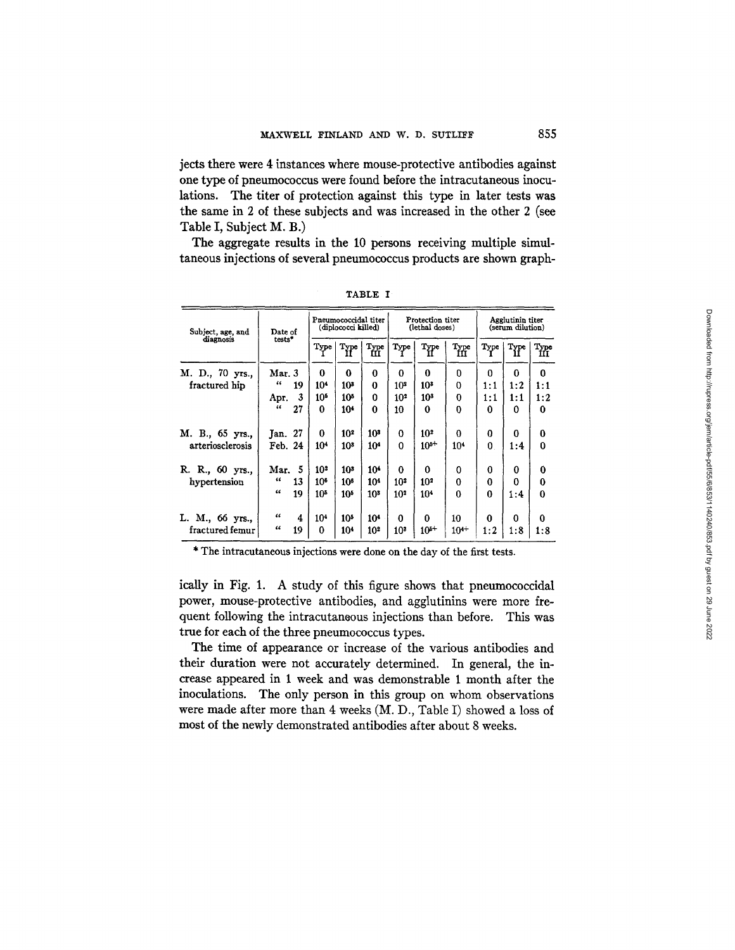jects there were 4 instances where mouse-protective antibodies against one type of pneumococcus were found before the intracutaneous inoculations. The titer of protection against this type in later tests was the same in 2 of these subjects and was increased in the other 2 (see Table I, Subject M. B.)

The aggregate results in the 10 persons receiving multiple simultaneous injections of several pneumococcus products are shown graph-

| Subject, age, and  | Date of          | Pneumococcidal titer<br>(diplococci killed) |                       |                        | Protection titer<br>(lethal doses) |                       |                 | Agglutinin titer<br>(serum dilution) |                       |             |
|--------------------|------------------|---------------------------------------------|-----------------------|------------------------|------------------------------------|-----------------------|-----------------|--------------------------------------|-----------------------|-------------|
| diagnosis          | tests*           | Type                                        | $T_{\rm H}^{\rm vpe}$ | $T_{\rm HI}^{\rm vpe}$ | Type                               | $\bold{r}_{\text{H}}$ | Type<br>III     | Type                                 | $T_{\rm H}^{\rm vpe}$ | Type<br>İП  |
| M. D., 70 yrs.,    | Mar. 3           | 0                                           | 0                     | 0                      | $\Omega$                           | 0                     | 0               | $\Omega$                             | 0                     | 0           |
| fractured hip      | 66<br>19         | 10 <sup>4</sup>                             | 10 <sup>3</sup>       | 0                      | 10 <sup>2</sup>                    | $10^{3}$              | 0               | $1\!:\!1$                            | 1:2                   | 1:1         |
|                    | 3<br>Apr.        | 10 <sup>5</sup>                             | 105                   | 0                      | 10 <sup>2</sup>                    | $10^{3}$              | $\Omega$        | $1\!:\!1$                            | 1:1                   | 1:2         |
|                    | $\epsilon$<br>27 | 0                                           | 10 <sup>4</sup>       | $\bf{0}$               | 10                                 | 0                     | 0               | $\bf{0}$                             | 0                     | 0           |
| M. B., 65 yrs.,    | Jan. 27          | 0                                           | 10 <sup>2</sup>       | 10*                    | 0                                  | 10 <sup>2</sup>       | O               | 0                                    | 0                     | 0           |
| arteriosclerosis   | Feb. 24          | 10 <sup>4</sup>                             | 10 <sup>3</sup>       | 10 <sup>4</sup>        | $\Omega$                           | $10^{5+}$             | 10 <sup>4</sup> | $\mathbf{0}$                         | 1:4                   | $\mathbf 0$ |
| R. R., 60 yrs.,    | -5<br>Mar.       | 102                                         | 10 <sup>3</sup>       | 104                    | 0                                  | 0                     | 0               | $\bf{0}$                             | 0                     | 0           |
| hypertension       | 46<br>13         | $10^{6}$                                    | 10 <sup>6</sup>       | 10 <sup>4</sup>        | 10 <sup>2</sup>                    | 10 <sup>2</sup>       | 0               | 0                                    | 0                     | 0           |
|                    | $\epsilon$<br>19 | 10 <sup>5</sup>                             | 10 <sup>5</sup>       | 10 <sup>3</sup>        | 10 <sup>2</sup>                    | 10 <sup>4</sup>       | 0               | $\mathbf 0$                          | 1:4                   | $\bf{0}$    |
| M., 66 yrs.,<br>L. | $\epsilon$<br>4  | 10 <sup>4</sup>                             | 10 <sup>5</sup>       | 10 <sup>4</sup>        | 0                                  | 0                     | 10              | 0                                    | 0                     | 0           |
| fractured femur    | $\epsilon$<br>19 | 0                                           | 10 <sup>4</sup>       | 10 <sup>2</sup>        | 10 <sup>3</sup>                    | $10^{5+}$             | $10^{4+}$       | 1:2                                  | 1:8                   | 1:8         |

TABLE I

\* The intracutaneous injections were done on the day of the first tests.

ically in Fig. 1. A study of this figure shows that pneumococcidal power, mouse-protective antibodies, and agglutinins were more frequent following the intracutanoous injections than before. This was true for each of the three pneumococcus types.

The time of appearance or increase of the various antibodies and their duration were not accurately determined. In general, the increase appeared in 1 week and was demonstrable 1 month after the inoculations. The only person in this group on whom observations were made after more than 4 weeks (M. D., Table I) showed a loss of most of the newly demonstrated antibodies after about 8 weeks.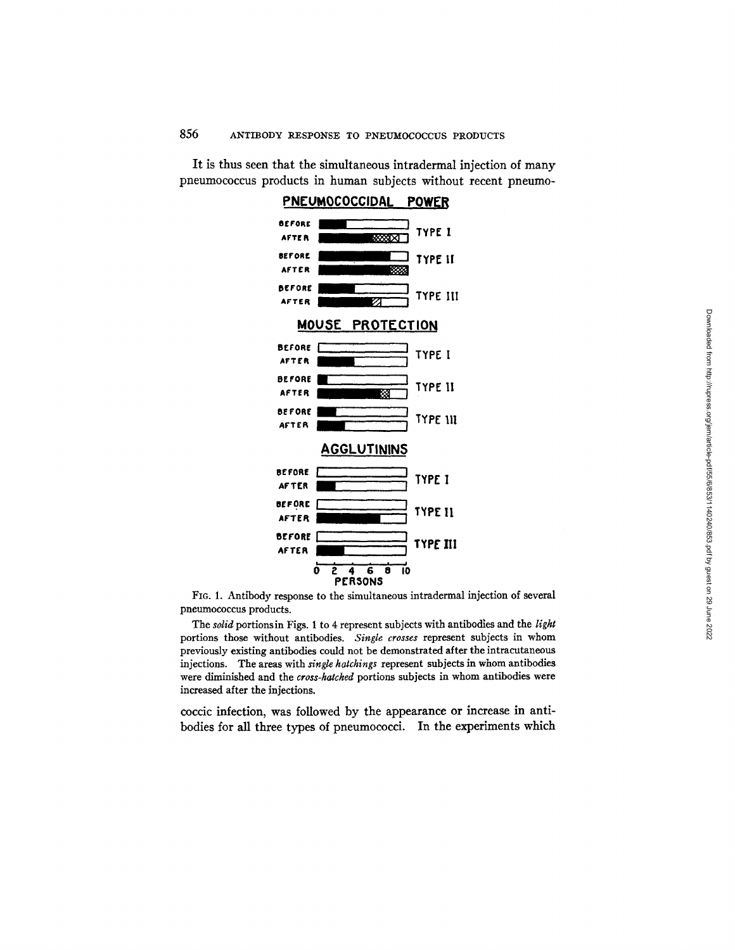PNEUMOCOCCIDAL **POWER BEFORE** AFTER **FILLER AND RESIDENCE** BEFORE **ENDING THE TYPE 11** AFTER **eEFORE IN EXAMPLE 27** TYPE **III** AFTER MOU3E PROTECTION BEFORE **I I TYPE I BEFORE** AFTER **FURNITURE AFTER** eeroe~ ~ ] TYPE **Ill AFTER ,,AGGLUTININ5 BEFORE**  $ATER$  TYPE I BEFORE **IT IS AFTER THE II BEFORE** TYPE III *AFTER*  ō  $\overline{\mathbf{6}}$  $\overline{\mathbf{e}}$ īο S.  $\overline{4}$ **PERSONS** 

It is thus seen that the simultaneous intradermal injection of many pneumococcus products in human subjects without recent pneumo-

FIG. l. Antibody response to the simultaneous intradcrmal injection of several pneumococcus products.

The *solid* portionsin Figs. 1 to 4 represent subjects with antibodies and the *light*  portions those without antibodies. *Single crosses* represent subjects in whom previously existing antibodies could not be demonstrated after the intracutaneous injections. The areas with *single hatchings* represent subjects in whom antibodies were diminished and the *cross-hatched* portions subjects in whom antibodies were increased after the injections.

coccic infection, was followed by the appearance or increase in antibodies for all three types of pneumococci. In the experiments which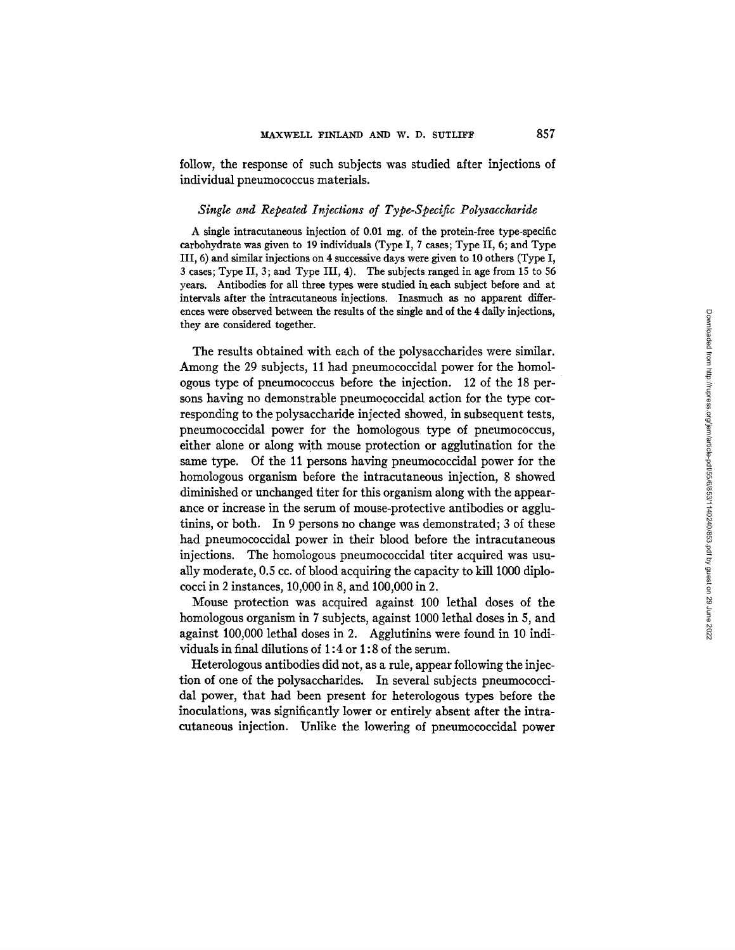follow, the response of such subjects was studied after injections of individual pneumococcus materials.

#### *Single and Repeated Injections of Type-Specific Polysaccharide*

A single intracutaneous injection of  $0.01$  mg, of the protein-free type-specific carbohydrate was given to 19 individuals (Type I, 7 cases; Type II, 6; and Type III, 6) and similar injections on 4 successive days were given to 10 others (Type I, 3 cases; Type II, 3; and Type III, 4). The subjects ranged in age from 15 to 56 years. Antibodies for all three types were studied in each subject before and at intervals after the intracutaneous injections. Inasmuch as no apparent differences were observed between the results of the single and of the 4 daily injections, they are considered together.

The results obtained with each of the polysaccharides were similar. Among the 29 subjects, 11 had pneumococcidal power for the homologous type of pneumococcus before the injection. 12 of the 18 persons having no demonstrable pneumococcidal action for the type corresponding to the polysaccharide injected showed, in subsequent tests, pneumococcidal power for the homologous type of pneumococcus, either alone or along with mouse protection or agglutination for the same type. Of the 11 persons having pneumococcidal power for the homologous organism before the intracutaneous injection, 8 showed diminished or unchanged titer for this organism along with the appearance or increase in the serum of mouse-protective antibodies or agglutinins, or both. In 9 persons no change was demonstrated; 3 of these had pneumococcidal power in their blood before the intracutaneous injections. The homologous pneumococcidal titer acquired was usually moderate, 0.5 cc. of blood acquiring the capacity to kill 1000 diplococci in 2 instances, 10,000 in 8, and 100,000 in 2.

Mouse protection was acquired against 100 lethal doses of the homologous organism in 7 subjects, against 1000 lethal doses in 5, and against 100,000 lethal doses in 2. Agglutinins were found in 10 individuals in final dilutions of 1:4 or 1:8 of the serum.

Heterologous antibodies did not, as a rule, appear following the injection of one of the polysaccharides. In several subjects pneumococcidal power, that had been present for heterologous types before the inoculations, was significantly lower or entirely absent after the intracutaneous injection. Unlike the lowering of pneumococcidal power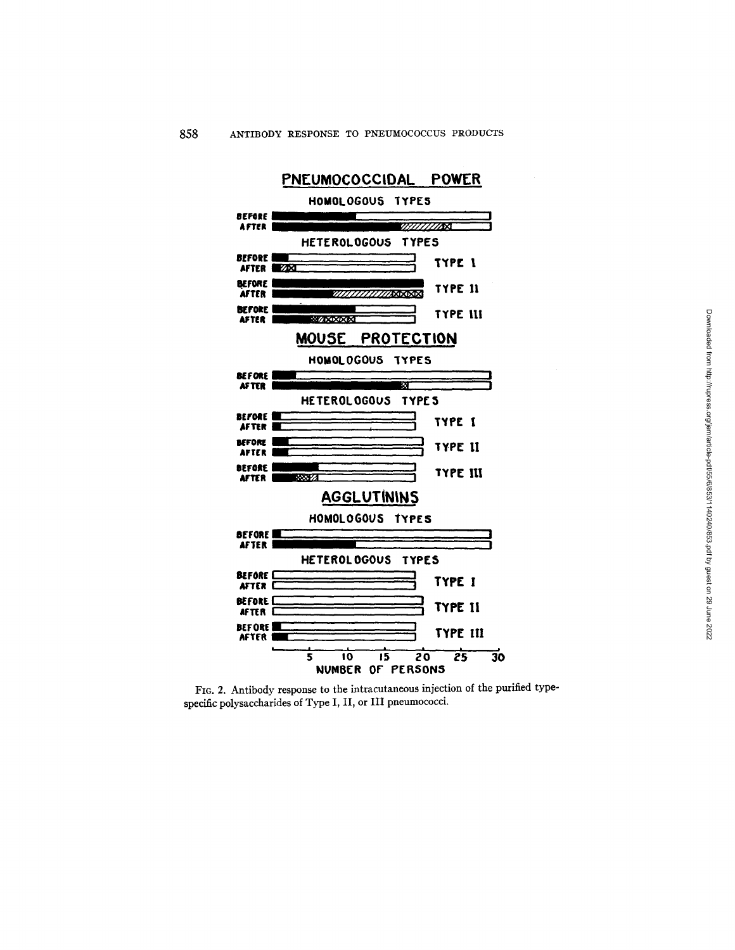

Fie. 2. Antibody response to the intracutaneous injection of the purified typespecific polysaccharides of Type I, II, or III pneumococci.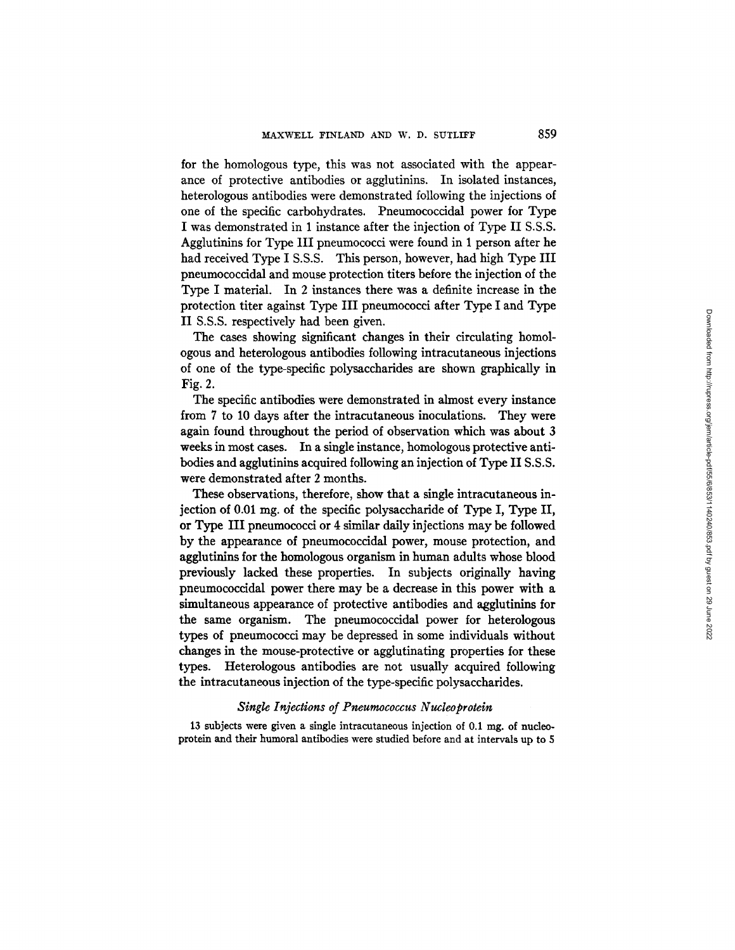for the homologous type, this was not associated with the appearance of protective antibodies or agglutinins. In isolated instances, heterologous antibodies were demonstrated following the injections of one of the specific carbohydrates. Pneumococcidal power for Type I was demonstrated in 1 instance after the injection of Type II S.S.S. Agglutinins for Type III pneumococci were found in 1 person after he had received Type I S.S.S. This person, however, had high Type III pneumococcidal and mouse protection titers before the injection of the Type I material. In 2 instances there was a definite increase in the protection titer against Type III pneumococci after Type I and Type II S.S.S. respectively had been given.

The cases showing significant changes in their circulating homologous and heterologous antibodies following intracutaneous injections of one of the type-specific polysaccharides are shown graphically in Fig. 2.

The specific antibodies were demonstrated in almost every instance from 7 to 10 days after the intracutaneous inoculations. They were again found throughout the period of observation which was about 3 weeks in most cases. In a single instance, homologous protective antibodies and agglutinins acquired following an injection of Type II S.S.S. were demonstrated after 2 months.

These observations, therefore, show that a single intracutaneous injection of 0.01 mg. of the specific polysaccharide of Type I, Type II, or Type III pneumococci or 4 similar daily injections may be followed by the appearance of pneumococcidal power, mouse protection, and agglutinins for the homologous organism in human adults whose blood previously lacked these properties. In subjects originally having pneumococcidal power there may be a decrease in this power with a simultaneous appearance of protective antibodies and agglutinins for the same organism. The pneumococcidal power for heterologous types of pneumococci may be depressed in some individuals without changes in the mouse-protective or agglutinating properties for these types. Heterologous antibodies are not usually acquired following the intracutaneous injection of the type-specific polysaccharides.

#### **Single Injections of Pneumococcus Nucleoprotein**

13 subjects were given a single intracutaneous injection of 0.1 mg. of nucleoprotein and their humoral antibodies were studied before and at intervals up to 5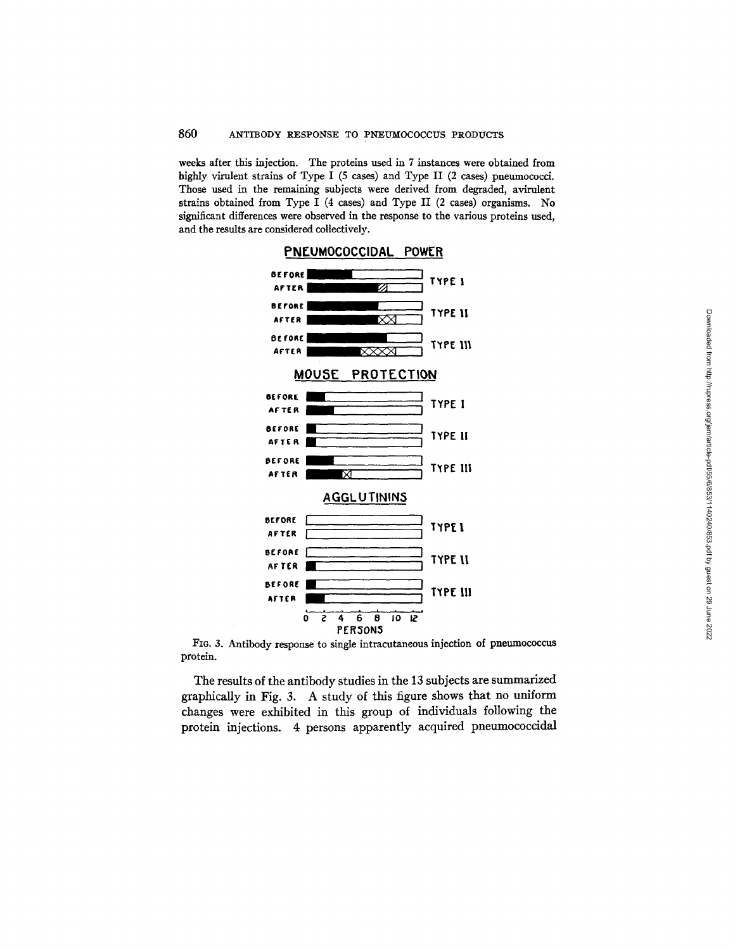weeks after this injection. The proteins used in 7 instances were obtained from highly virulent strains of Type I (5 cases) and Type II (2 cases) pneumococci. Those used in the remaining subjects were derived from degraded, avirulent strains obtained from Type I (4 cases) and Type II (2 cases) organisms. No significant differences were observed in the response to the various proteins used, and the results are considered collectively.



FIG. 3. Antibody response to single intracutaneous injection of pneumococcus protein.

The results of the antibody studies in the 13 subjects are summarized graphically in Fig. 3. A study of this figure shows that no uniform changes were exhibited in this group of individuals following the protein injections. 4 persons apparently acquired pneumococcidal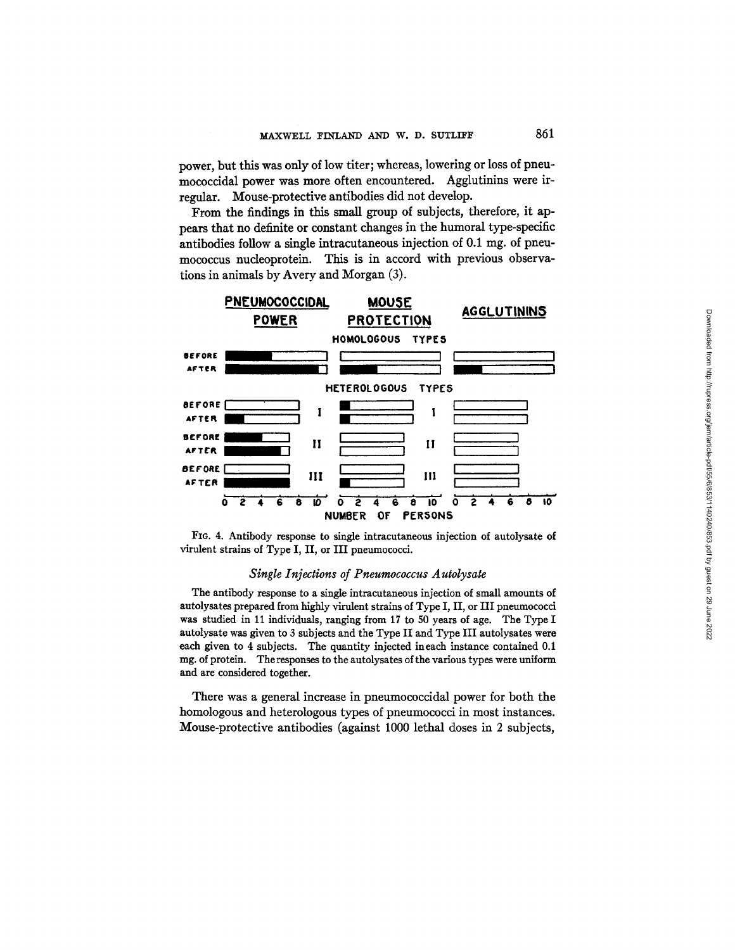power, but this was only of low titer; whereas, lowering or loss of pneumococcidal power was more often encountered. Agglutinins were irregular. Mouse-protective antibodies did not develop.

From the findings in this small group of subjects, therefore, it appears that no definite or constant changes in the humoral type-specific antibodies follow a single intracutaneous injection of  $0.1 \text{ mg}$ . of pneumococcus nucleoprotein. This is in accord with previous observations in animals by Avery and Morgan (3).





### *Single Injections of Pneumococcus A utolysate*

The antibody response to a single intracutaneous injection of small amounts of autolysates prepared from highly virulent strains of Type I, II, or III pneumococci was studied in 11 individuals, ranging from 17 to 50 years of age. The Type I autolysate was given to 3 subjects and the Type II and Type III autolysates were each given to 4 subjects. The quantity injected ineach instance contained 0.1 mg. of protein. The responses to the autolysates of the various types were uniform and are considered together.

There was a general increase in pneumococcidal power for both the homologous and heterologous types of pneumococci in most instances. Mouse-protective antibodies (against 1000 lethal doses in 2 subjects,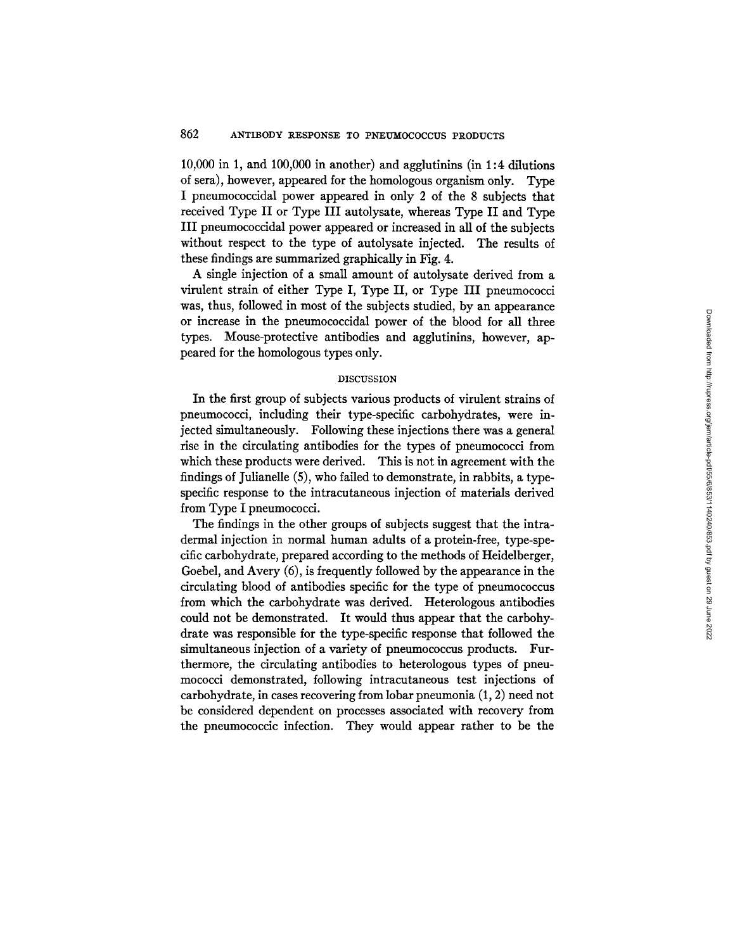10,000 in 1, and 100,000 in another) and agglutinins (in 1:4 dilutions of sera), however, appeared for the homologous organism only. Type I pneumococcidal power appeared in only 2 of the 8 subjects that received Type II or Type III autolysate, whereas Type II and Type III pneumococcidal power appeared or increased in all of the subjects without respect to the type of autolysate injected. The results of these findings are summarized graphically in Fig. 4.

A single injection of a small amount of autolysate derived from a virulent strain of either Type I, Type II, or Type III pneumococci was, thus, followed in most of the subjects studied, by an appearance or increase in the pneumococcidal power of the blood for all three types. Mouse-protective antibodies and agglutinins, however, appeared for the homologous types only.

#### DISCUSSION

In the first group of subjects various products of virulent strains of pneumococci, including their type-specific carbohydrates, were injected simultaneously. Following these injections there was a general rise in the circulating antibodies for the types of pneumococci from which these products were derived. This is not in agreement with the findings of Julianelle (5), who failed to demonstrate, in rabbits, a typespecific response to the intracutaneous injection of materials derived from Type I pneumococci.

The findings in the other groups of subjects suggest that the intradermal injection in normal human adults of a protein-free, type-specific carbohydrate, prepared according to the methods of Heidelberger, Goebel, and Avery (6), is frequently followed by the appearance in the circulating blood of antibodies specific for the type of pneumococcus from which the carbohydrate was derived. Heterologous antibodies could not be demonstrated. It would thus appear that the carbohydrate was responsible for the type-specific response that followed the simultaneous injection of a variety of pneumococcus products. Furthermore, the circulating antibodies to heterologous types of pneumococci demonstrated, following intracutaneous test injections of carbohydrate, in cases recovering from lobar pneumonia (1, 2) need not be considered dependent on processes associated with recovery from the pneumococcic infection. They would appear rather to be the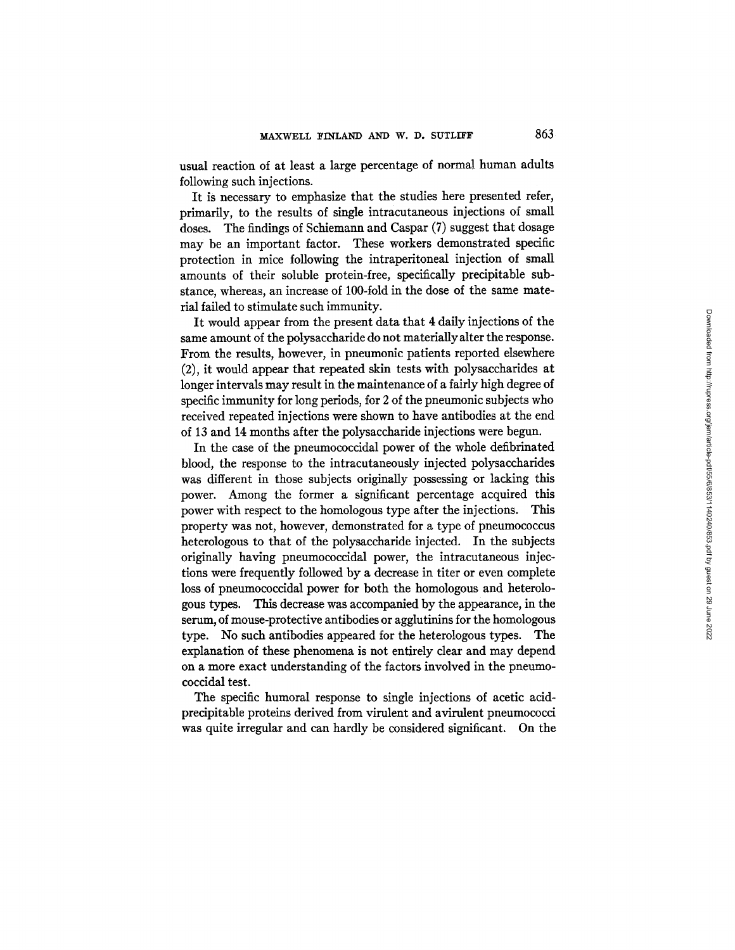usual reaction of at least a large percentage of normal human adults following such injections.

It is necessary to emphasize that the studies here presented refer, primarily, to the results of single intracutaneous injections of small doses. The findings of Schiemann and Caspar (7) suggest that dosage may be an important factor. These workers demonstrated specific protection in mice following the intraperitoneal injection of small amounts of their soluble protein-free, specifically precipitable substance, whereas, an increase of 100-fold in the dose of the same material failed to stimulate such immunity.

It would appear from the present data that 4 daily injections of the same amount of the polysaccharide do not materiallyalter the response. From the results, however, in pneumonic patients reported elsewhere (2), it would appear that repeated skin tests with polysaccharides at longer intervals may result in the maintenance of a fairly high degree of specific immunity for long periods, for 2 of the pneumonic subjects who received repeated injections were shown to have antibodies at the end of 13 and 14 months after the polysaccharide injections were begun.

In the case of the pneumococcidal power of the whole defibrinated blood, the response to the intracutaneously injected polysaccharides was different in those subjects originally possessing or lacking this power. Among the former a significant percentage acquired this power with respect to the homologous type after the injections. This property was not, however, demonstrated for a type of pneumococcus heterologous to that of the polysaccharide injected. In the subjects originally having pneumococcidal power, the intracutaneous injections were frequently followed by a decrease in titer or even complete loss of pneumococcldal power for both the homologous and heterologous types. This decrease was accompanied by the appearance, in the serum, of mouse-protective antibodies or agglutinins for the homologous type. No such antibodies appeared for the heterologous types. The explanation of these phenomena is not entirely clear and may depend on a more exact understanding of the factors involved in the pneumococcidal test.

The specific humoral response to single injections of acetic acidprecipitable proteins derived from virulent and avirulent pneumococci was quite irregular and can hardly be considered significant. On the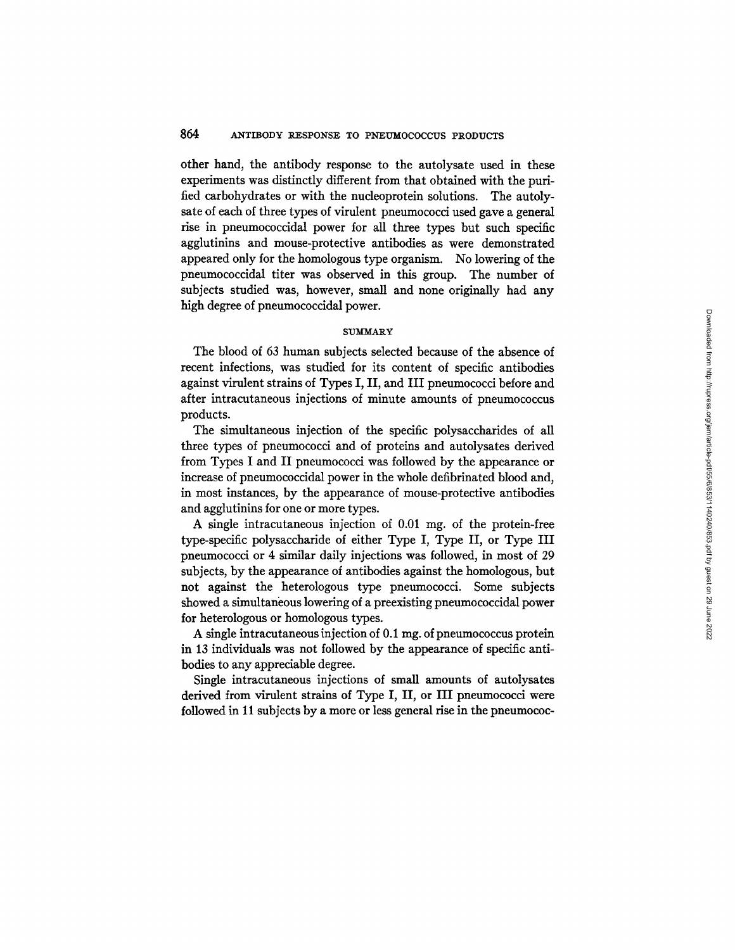other hand, the antibody response to the autolysate used in these experiments was distinctly different from that obtained with the purified carbohydrates or with the nucleoprotein solutions. The autolysate of each of three types of virulent pneumococci used gave a general rise in pneumococcidal power for all three types but such specific agglutinins and mouse-protective antibodies as were demonstrated appeared only for the homologous type organism. No lowering of the pneumococcidal titer was observed in this group. The number of subjects studied was, however, small and none originally had any high degree of pneumococcidal power.

#### **SUMMARY**

The blood of 63 human subjects selected because of the absence of recent infections, was studied for its content of specific antibodies against virulent strains of Types I, II, and III pneumococci before and after intracutaneous injections of minute amounts of pneumococcus products.

The simultaneous injection of the specific polysaccharides of all three types of pneumococci and of proteins and autolysates derived from Types I and II pneumococci was followed by the appearance or increase of pneumococcidal power in the whole defibrinated blood and, in most instances, by the appearance of mouse-protective antibodies and agglutinins for one or more types.

A single intracutaneous injection of 0.01 mg. of the protein-free type-specific polysaccharide of either Type I, Type II, or Type III pneumococci or 4 similar daily injections was followed, in most of 29 subjects, by the appearance of antibodies against the homologous, but not against the heterologous type pneumococci. Some subjects showed a simultaneous lowering of a preexisting pneumococcidal power for heterologous or homologous types.

A single intracutaneous injection of 0.1 mg. of pneumococcus protein in 13 individuals was not followed by the appearance of specific antibodies to any appreciable degree.

Single intracutaneous injections of small amounts of autolysates derived from virulent strains of Type I, II, or III pneumococci were followed in 11 subjects by a more or less general rise in the pneumococ-